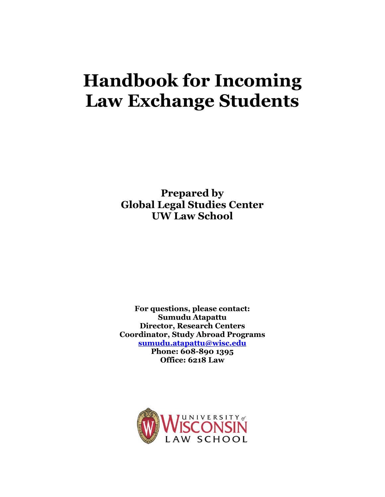# **Handbook for Incoming Law Exchange Students**

**Prepared by Global Legal Studies Center UW Law School**

**For questions, please contact: Sumudu Atapattu Director, Research Centers Coordinator, Study Abroad Programs [sumudu.atapattu@wisc.edu](mailto:sumudu.atapattu@wisc.edu) Phone: 608-890 1395 Office: 6218 Law** 

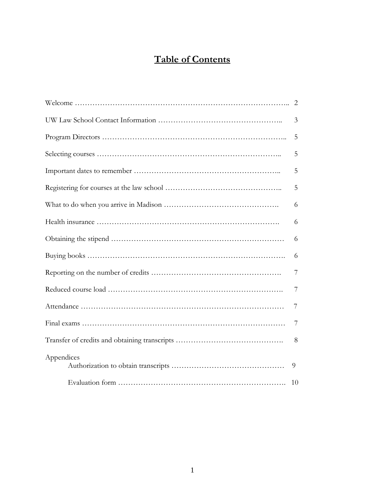# **Table of Contents**

|            | 3  |
|------------|----|
|            | 5  |
|            | 5  |
|            | 5  |
|            | 5  |
|            | 6  |
|            | 6  |
|            | 6  |
|            | 6  |
|            | 7  |
|            | 7  |
|            | 7  |
|            | 7  |
|            | 8  |
| Appendices | 9  |
|            | 10 |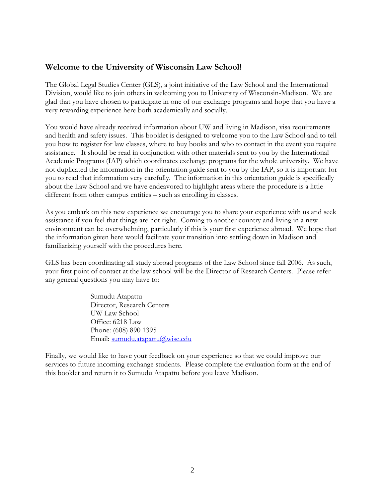# **Welcome to the University of Wisconsin Law School!**

The Global Legal Studies Center (GLS), a joint initiative of the Law School and the International Division, would like to join others in welcoming you to University of Wisconsin-Madison. We are glad that you have chosen to participate in one of our exchange programs and hope that you have a very rewarding experience here both academically and socially.

You would have already received information about UW and living in Madison, visa requirements and health and safety issues. This booklet is designed to welcome you to the Law School and to tell you how to register for law classes, where to buy books and who to contact in the event you require assistance. It should be read in conjunction with other materials sent to you by the International Academic Programs (IAP) which coordinates exchange programs for the whole university. We have not duplicated the information in the orientation guide sent to you by the IAP, so it is important for you to read that information very carefully. The information in this orientation guide is specifically about the Law School and we have endeavored to highlight areas where the procedure is a little different from other campus entities – such as enrolling in classes.

As you embark on this new experience we encourage you to share your experience with us and seek assistance if you feel that things are not right. Coming to another country and living in a new environment can be overwhelming, particularly if this is your first experience abroad. We hope that the information given here would facilitate your transition into settling down in Madison and familiarizing yourself with the procedures here.

GLS has been coordinating all study abroad programs of the Law School since fall 2006. As such, your first point of contact at the law school will be the Director of Research Centers. Please refer any general questions you may have to:

> Sumudu Atapattu Director, Research Centers UW Law School Office: 6218 Law Phone: (608) 890 1395 Email: [sumudu.atapattu@wisc.edu](mailto:sumudu.atapattu@wisc.edu)

Finally, we would like to have your feedback on your experience so that we could improve our services to future incoming exchange students. Please complete the evaluation form at the end of this booklet and return it to Sumudu Atapattu before you leave Madison.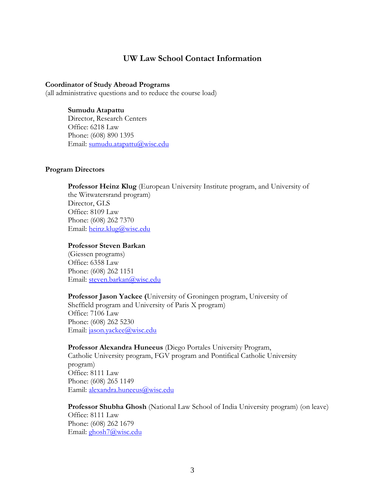## **UW Law School Contact Information**

#### **Coordinator of Study Abroad Programs**

(all administrative questions and to reduce the course load)

#### **Sumudu Atapattu**

Director, Research Centers Office: 6218 Law Phone: (608) 890 1395 Email: [sumudu.atapattu@wisc.edu](mailto:sumudu.atapattu@wisc.edu)

#### **Program Directors**

**Professor Heinz Klug** (European University Institute program, and University of the Witwatersrand program) Director, GLS Office: 8109 Law Phone: (608) 262 7370 Email: [heinz.klug@wisc.edu](mailto:heinz.klug@wisc.edu) 

#### **Professor Steven Barkan**

(Giessen programs) Office: 6358 Law Phone: (608) 262 1151 Email: [steven.barkan@wisc.edu](mailto:steven.barkan@wisc.edu)

**Professor Jason Yackee (**University of Groningen program, University of Sheffield program and University of Paris X program) Office: 7106 Law Phone: (608) 262 5230 Email: [jason.yackee@wisc.edu](mailto:jason.yackee@wisc.edu)

**Professor Alexandra Huneeus** (Diego Portales University Program, Catholic University program, FGV program and Pontifical Catholic University program) Office: 8111 Law Phone: (608) 265 1149 Eamil: [alexandra.huneeus@wisc.edu](mailto:alexandra.huneeus@wisc.edu)

**Professor Shubha Ghosh** (National Law School of India University program) (on leave) Office: 8111 Law Phone: (608) 262 1679 Email: [ghosh7@wisc.edu](mailto:ghosh7@wisc.edu)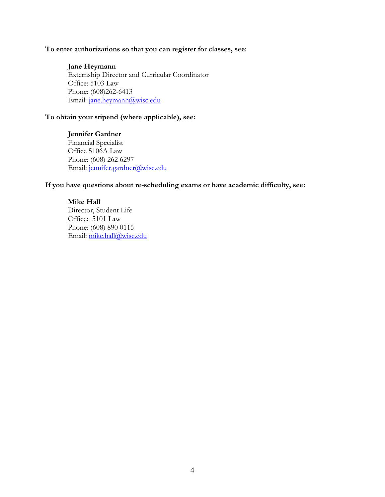#### **To enter authorizations so that you can register for classes, see:**

**Jane Heymann** Externship Director and Curricular Coordinator Office: 5103 Law Phone: (608)262-6413 Email: [jane.heymann@wisc.edu](mailto:jane.heymann@wisc.edu)

#### **To obtain your stipend (where applicable), see:**

#### **Jennifer Gardner** Financial Specialist

Office 5106A Law Phone: (608) 262 6297 Email: [jennifer.gardner@wisc.edu](mailto:jennifer.gardner@wisc.edu)

#### **If you have questions about re-scheduling exams or have academic difficulty, see:**

#### **Mike Hall**

Director, Student Life Office: 5101 Law Phone: (608) 890 0115 Email: [mike.hall@wisc.edu](mailto:mike.hall@wisc.edu)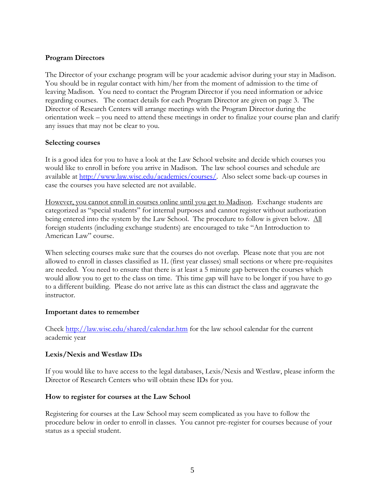#### **Program Directors**

The Director of your exchange program will be your academic advisor during your stay in Madison. You should be in regular contact with him/her from the moment of admission to the time of leaving Madison. You need to contact the Program Director if you need information or advice regarding courses. The contact details for each Program Director are given on page 3. The Director of Research Centers will arrange meetings with the Program Director during the orientation week – you need to attend these meetings in order to finalize your course plan and clarify any issues that may not be clear to you.

#### **Selecting courses**

It is a good idea for you to have a look at the Law School website and decide which courses you would like to enroll in before you arrive in Madison. The law school courses and schedule are available at [http://www.law.wisc.edu/academics/courses/.](http://www.law.wisc.edu/academics/courses/) Also select some back-up courses in case the courses you have selected are not available.

However, you cannot enroll in courses online until you get to Madison. Exchange students are categorized as "special students" for internal purposes and cannot register without authorization being entered into the system by the Law School. The procedure to follow is given below. All foreign students (including exchange students) are encouraged to take "An Introduction to American Law" course.

When selecting courses make sure that the courses do not overlap. Please note that you are not allowed to enroll in classes classified as 1L (first year classes) small sections or where pre-requisites are needed. You need to ensure that there is at least a 5 minute gap between the courses which would allow you to get to the class on time. This time gap will have to be longer if you have to go to a different building. Please do not arrive late as this can distract the class and aggravate the instructor.

#### **Important dates to remember**

Check<http://law.wisc.edu/shared/calendar.htm> for the law school calendar for the current academic year

#### **Lexis/Nexis and Westlaw IDs**

If you would like to have access to the legal databases, Lexis/Nexis and Westlaw, please inform the Director of Research Centers who will obtain these IDs for you.

#### **How to register for courses at the Law School**

Registering for courses at the Law School may seem complicated as you have to follow the procedure below in order to enroll in classes. You cannot pre-register for courses because of your status as a special student.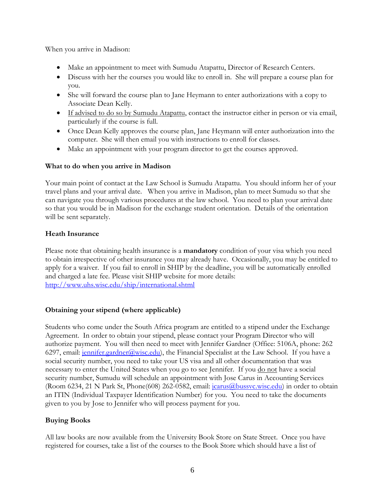When you arrive in Madison:

- Make an appointment to meet with Sumudu Atapattu, Director of Research Centers.
- Discuss with her the courses you would like to enroll in. She will prepare a course plan for you.
- She will forward the course plan to Jane Heymann to enter authorizations with a copy to Associate Dean Kelly.
- **If advised to do so by Sumudu Atapattu, contact the instructor either in person or via email,** particularly if the course is full.
- Once Dean Kelly approves the course plan, Jane Heymann will enter authorization into the computer. She will then email you with instructions to enroll for classes.
- Make an appointment with your program director to get the courses approved.

## **What to do when you arrive in Madison**

Your main point of contact at the Law School is Sumudu Atapattu. You should inform her of your travel plans and your arrival date. When you arrive in Madison, plan to meet Sumudu so that she can navigate you through various procedures at the law school. You need to plan your arrival date so that you would be in Madison for the exchange student orientation. Details of the orientation will be sent separately.

# **Heath Insurance**

Please note that obtaining health insurance is a **mandatory** condition of your visa which you need to obtain irrespective of other insurance you may already have. Occasionally, you may be entitled to apply for a waiver. If you fail to enroll in SHIP by the deadline, you will be automatically enrolled and charged a late fee. Please visit SHIP website for more details: <http://www.uhs.wisc.edu/ship/international.shtml>

## **Obtaining your stipend (where applicable)**

Students who come under the South Africa program are entitled to a stipend under the Exchange Agreement. In order to obtain your stipend, please contact your Program Director who will authorize payment. You will then need to meet with Jennifer Gardner (Office: 5106A, phone: 262 6297, email: *jennifer.gardner@wisc.edu*), the Financial Specialist at the Law School. If you have a social security number, you need to take your US visa and all other documentation that was necessary to enter the United States when you go to see Jennifer. If you <u>do not</u> have a social security number, Sumudu will schedule an appointment with Jose Carus in Accounting Services (Room 6234, 21 N Park St, Phone(608) 262-0582, email: *jcarus@bussvc.wisc.edu*) in order to obtain an ITIN (Individual Taxpayer Identification Number) for you. You need to take the documents given to you by Jose to Jennifer who will process payment for you.

# **Buying Books**

All law books are now available from the University Book Store on State Street. Once you have registered for courses, take a list of the courses to the Book Store which should have a list of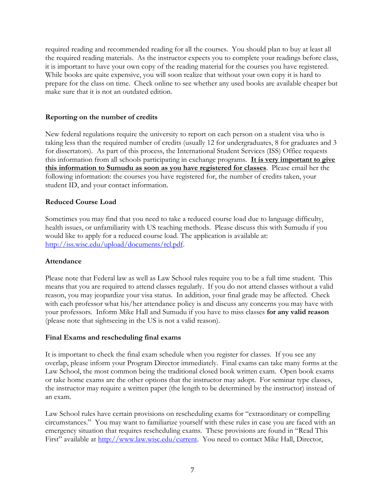required reading and recommended reading for all the courses. You should plan to buy at least all the required reading materials. As the instructor expects you to complete your readings before class, it is important to have your own copy of the reading material for the courses you have registered. While books are quite expensive, you will soon realize that without your own copy it is hard to prepare for the class on time. Check online to see whether any used books are available cheaper but make sure that it is not an outdated edition.

#### **Reporting on the number of credits**

New federal regulations require the university to report on each person on a student visa who is taking less than the required number of credits (usually 12 for undergraduates, 8 for graduates and 3 for dissertators). As part of this process, the International Student Services (ISS) Office requests this information from all schools participating in exchange programs. **It is very important to give this information to Sumudu as soon as you have registered for classes**. Please email her the following information: the courses you have registered for, the number of credits taken, your student ID, and your contact information.

#### **Reduced Course Load**

Sometimes you may find that you need to take a reduced course load due to language difficulty, health issues, or unfamiliarity with US teaching methods. Please discuss this with Sumudu if you would like to apply for a reduced course load. The application is available at: [http://iss.wisc.edu/upload/documents/rcl.pdf.](http://iss.wisc.edu/upload/documents/rcl.pdf)

#### **Attendance**

Please note that Federal law as well as Law School rules require you to be a full time student. This means that you are required to attend classes regularly. If you do not attend classes without a valid reason, you may jeopardize your visa status. In addition, your final grade may be affected. Check with each professor what his/her attendance policy is and discuss any concerns you may have with your professors. Inform Mike Hall and Sumudu if you have to miss classes **for any valid reason** (please note that sightseeing in the US is not a valid reason).

#### **Final Exams and rescheduling final exams**

It is important to check the final exam schedule when you register for classes. If you see any overlap, please inform your Program Director immediately. Final exams can take many forms at the Law School, the most common being the traditional closed book written exam. Open book exams or take home exams are the other options that the instructor may adopt. For seminar type classes, the instructor may require a written paper (the length to be determined by the instructor) instead of an exam.

Law School rules have certain provisions on rescheduling exams for "extraordinary or compelling circumstances." You may want to familiarize yourself with these rules in case you are faced with an emergency situation that requires rescheduling exams. These provisions are found in "Read This First" available at [http://www.law.wisc.edu/current.](http://www.law.wisc.edu/current) You need to contact Mike Hall, Director,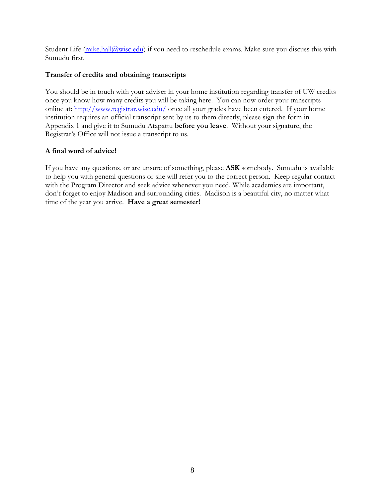Student Life  $(mike.hall@wise.edu)$  if you need to reschedule exams. Make sure you discuss this with Sumudu first.

#### **Transfer of credits and obtaining transcripts**

You should be in touch with your adviser in your home institution regarding transfer of UW credits once you know how many credits you will be taking here. You can now order your transcripts online at:<http://www.registrar.wisc.edu/> once all your grades have been entered. If your home institution requires an official transcript sent by us to them directly, please sign the form in Appendix 1 and give it to Sumudu Atapattu **before you leave**. Without your signature, the Registrar's Office will not issue a transcript to us.

#### **A final word of advice!**

If you have any questions, or are unsure of something, please **ASK** somebody. Sumudu is available to help you with general questions or she will refer you to the correct person. Keep regular contact with the Program Director and seek advice whenever you need. While academics are important, don't forget to enjoy Madison and surrounding cities. Madison is a beautiful city, no matter what time of the year you arrive. **Have a great semester!**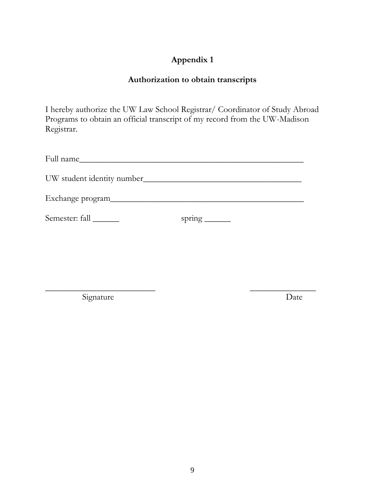# **Appendix 1**

# **Authorization to obtain transcripts**

I hereby authorize the UW Law School Registrar/ Coordinator of Study Abroad Programs to obtain an official transcript of my record from the UW-Madison Registrar.

| Full name                   |                                                                            |
|-----------------------------|----------------------------------------------------------------------------|
| UW student identity number_ |                                                                            |
| Exchange program___         |                                                                            |
| Semester: fall              | spring $\frac{1}{\sqrt{1-\frac{1}{2}}\cdot\frac{1}{\sqrt{1-\frac{1}{2}}}}$ |

Signature Date

 $\overline{\phantom{a}}$  , and the contract of the contract of the contract of the contract of the contract of the contract of the contract of the contract of the contract of the contract of the contract of the contract of the contrac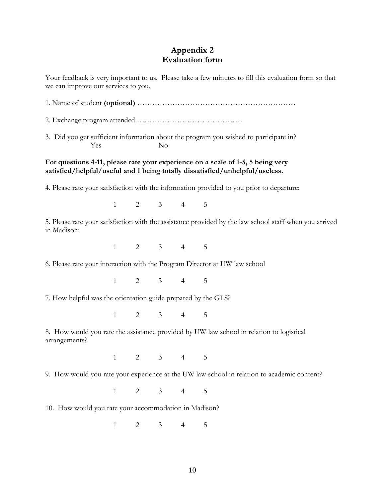# **Appendix 2 Evaluation form**

Your feedback is very important to us. Please take a few minutes to fill this evaluation form so that we can improve our services to you.

1. Name of student **(optional)** ………………………………………………………

2. Exchange program attended ……………………………………

3. Did you get sufficient information about the program you wished to participate in? Yes No

#### **For questions 4-11, please rate your experience on a scale of 1-5, 5 being very satisfied/helpful/useful and 1 being totally dissatisfied/unhelpful/useless.**

4. Please rate your satisfaction with the information provided to you prior to departure:

1 2 3 4 5

5. Please rate your satisfaction with the assistance provided by the law school staff when you arrived in Madison:

1 2 3 4 5

6. Please rate your interaction with the Program Director at UW law school

1 2 3 4 5

7. How helpful was the orientation guide prepared by the GLS?

1 2 3 4 5

8. How would you rate the assistance provided by UW law school in relation to logistical arrangements?

1 2 3 4 5

9. How would you rate your experience at the UW law school in relation to academic content?

1 2 3 4 5

10. How would you rate your accommodation in Madison?

1 2 3 4 5